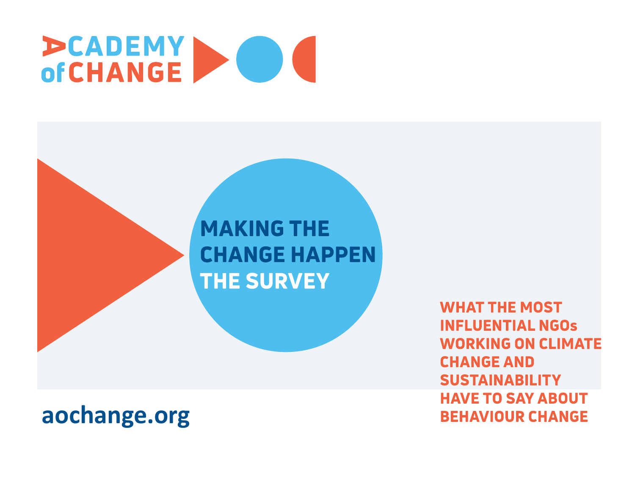# **PCADEMY DE**

#### **MAKING THE CHANGE HAPPEN THE SURVEY**

#### **aochange.org**

**WHAT THE MOST INFLUENTIAL NGOS WORKING ON CLIMATE CHANGE AND SUSTAINABILITY HAVE TO SAY ABOUT BEHAVIOUR CHANGE**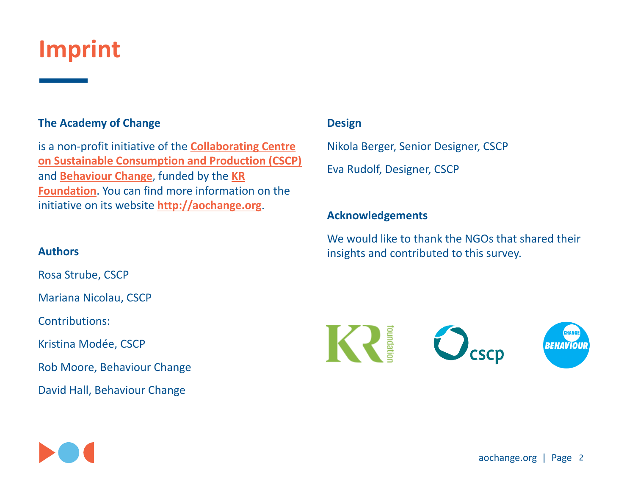### **Imprint**

#### **The Academy of Change**

is a non-profit initiative of the **Collaborating Centre on Sustainable Consumption and Production (CSCP)** and **Behaviour Change**, funded by the **KR Foundation.** You can find more information on the initiative on its website **http://aochange.org**.

#### **Authors**

Rosa Strube, CSCP

Mariana Nicolau, CSCP

Contributions:

Kristina Modée, CSCP

Rob Moore, Behaviour Change

David Hall, Behaviour Change

#### **Design**

Nikola Berger, Senior Designer, CSCP Eva Rudolf, Designer, CSCP

#### **Acknowledgements**

We would like to thank the NGOs that shared their insights and contributed to this survey.



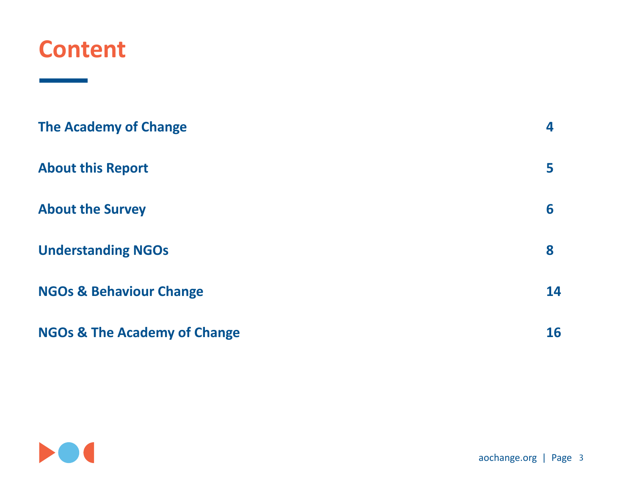#### **Content**

and the state of the state of the

| <b>The Academy of Change</b>            | 4  |
|-----------------------------------------|----|
| <b>About this Report</b>                | 5  |
| <b>About the Survey</b>                 | 6  |
| <b>Understanding NGOs</b>               | 8  |
| <b>NGOs &amp; Behaviour Change</b>      | 14 |
| <b>NGOs &amp; The Academy of Change</b> | 16 |

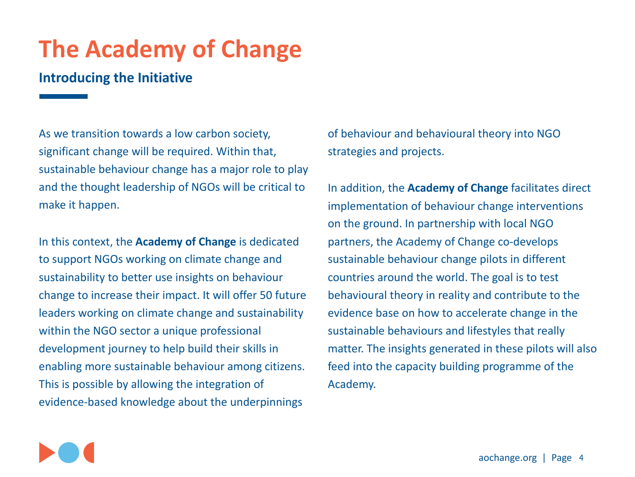### **The Academy of Change**

#### **Introducing the Initiative**

As we transition towards a low carbon society, significant change will be required. Within that, sustainable behaviour change has a major role to play and the thought leadership of NGOs will be critical to make it happen.

In this context, the **Academy of Change** is dedicated to support NGOs working on climate change and sustainability to better use insights on behaviour change to increase their impact. It will offer 50 future leaders working on climate change and sustainability within the NGO sector a unique professional development journey to help build their skills in enabling more sustainable behaviour among citizens. This is possible by allowing the integration of evidence-based knowledge about the underpinnings

of behaviour and behavioural theory into NGO strategies and projects.

In addition, the **Academy of Change** facilitates direct implementation of behaviour change interventions on the ground. In partnership with local NGO partners, the Academy of Change co-develops sustainable behaviour change pilots in different countries around the world. The goal is to test behavioural theory in reality and contribute to the evidence base on how to accelerate change in the sustainable behaviours and lifestyles that really matter. The insights generated in these pilots will also feed into the capacity building programme of the Academy.

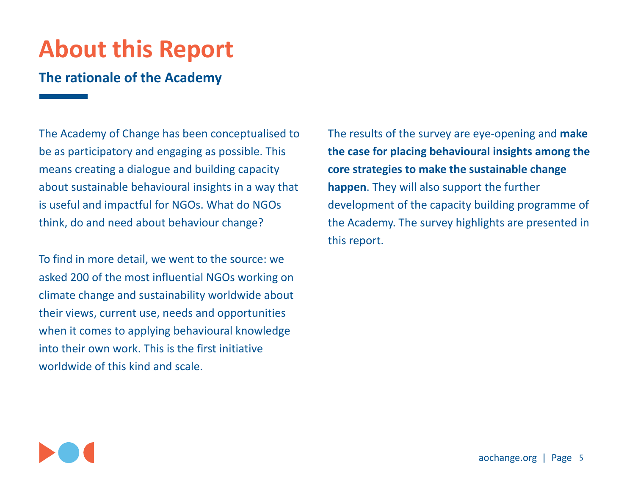### **About this Report**

#### **The rationale of the Academy**

The Academy of Change has been conceptualised to be as participatory and engaging as possible. This means creating a dialogue and building capacity about sustainable behavioural insights in a way that is useful and impactful for NGOs. What do NGOs think, do and need about behaviour change?

To find in more detail, we went to the source: we asked 200 of the most influential NGOs working on climate change and sustainability worldwide about their views, current use, needs and opportunities when it comes to applying behavioural knowledge into their own work. This is the first initiative worldwide of this kind and scale.

The results of the survey are eye-opening and **make** the case for placing behavioural insights among the **core strategies to make the sustainable change happen**. They will also support the further development of the capacity building programme of the Academy. The survey highlights are presented in this report.

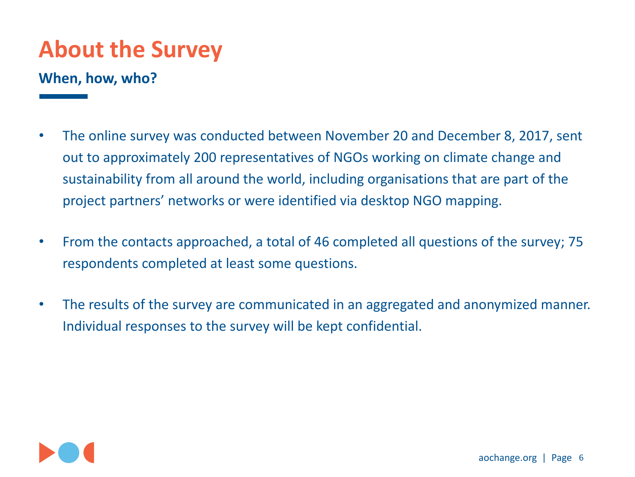### **About the Survey**

#### **When, how, who?**

- The online survey was conducted between November 20 and December 8, 2017, sent out to approximately 200 representatives of NGOs working on climate change and sustainability from all around the world, including organisations that are part of the project partners' networks or were identified via desktop NGO mapping.
- From the contacts approached, a total of 46 completed all questions of the survey; 75 respondents completed at least some questions.
- The results of the survey are communicated in an aggregated and anonymized manner. Individual responses to the survey will be kept confidential.

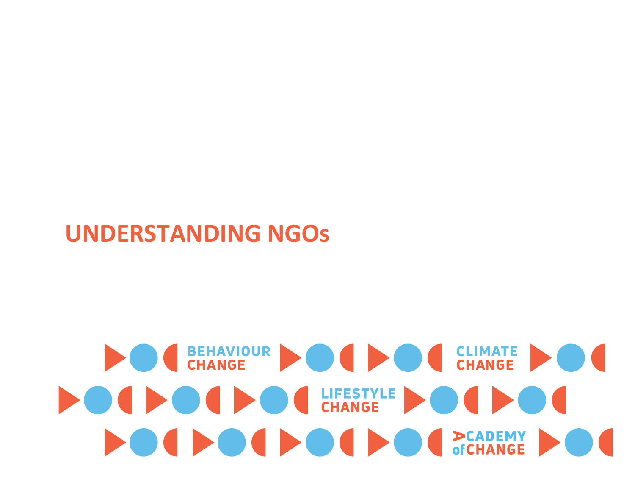### **UNDERSTANDING NGOs**

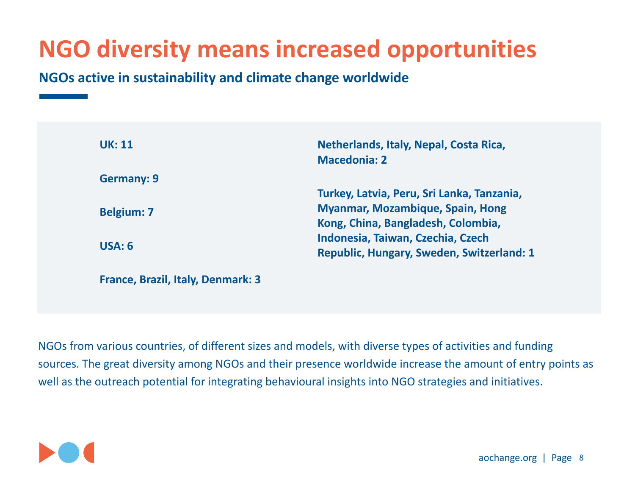### **NGO diversity means increased opportunities**

**NGOs active in sustainability and climate change worldwide** 

| <b>UK: 11</b>                     | Netherlands, Italy, Nepal, Costa Rica,     |
|-----------------------------------|--------------------------------------------|
|                                   | <b>Macedonia: 2</b>                        |
| <b>Germany: 9</b>                 |                                            |
|                                   | Turkey, Latvia, Peru, Sri Lanka, Tanzania, |
| <b>Belgium: 7</b>                 | <b>Myanmar, Mozambique, Spain, Hong</b>    |
|                                   | Kong, China, Bangladesh, Colombia,         |
| USA: 6                            | Indonesia, Taiwan, Czechia, Czech          |
|                                   | Republic, Hungary, Sweden, Switzerland: 1  |
| France, Brazil, Italy, Denmark: 3 |                                            |

NGOs from various countries, of different sizes and models, with diverse types of activities and funding sources. The great diversity among NGOs and their presence worldwide increase the amount of entry points as well as the outreach potential for integrating behavioural insights into NGO strategies and initiatives.

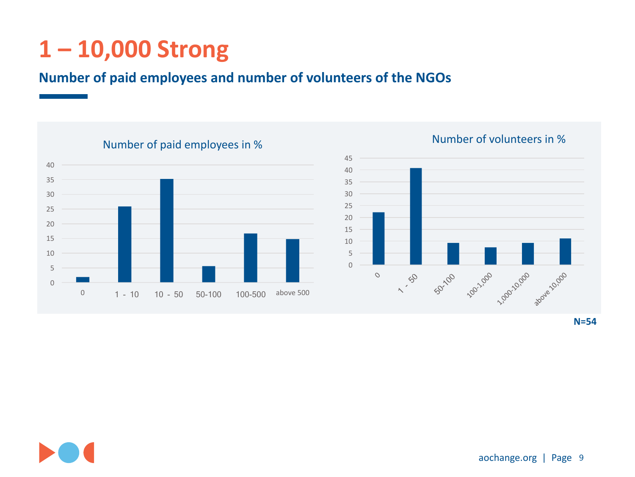### **1 – 10,000 Strong**

#### **Number of paid employees and number of volunteers of the NGOs**



#### Number of volunteers in %



**N=54**

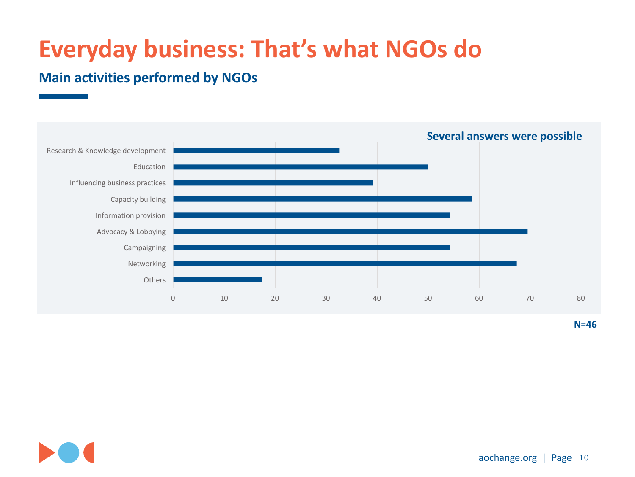### **Everyday business: That's what NGOs do**

#### **Main activities performed by NGOs**



**N=46**

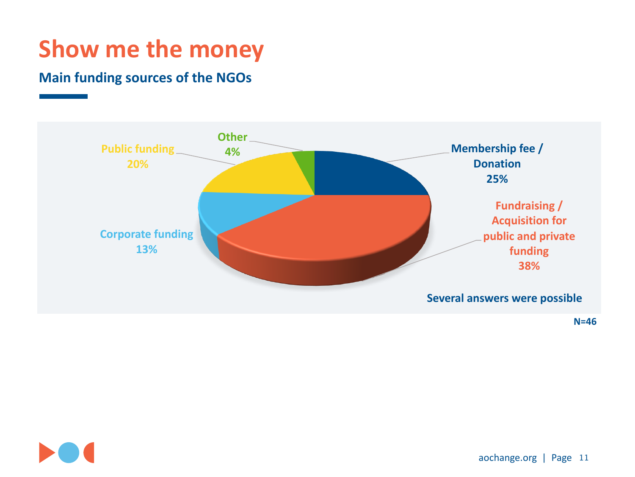### **Show me the money**

#### **Main funding sources of the NGOs**



**N=46**

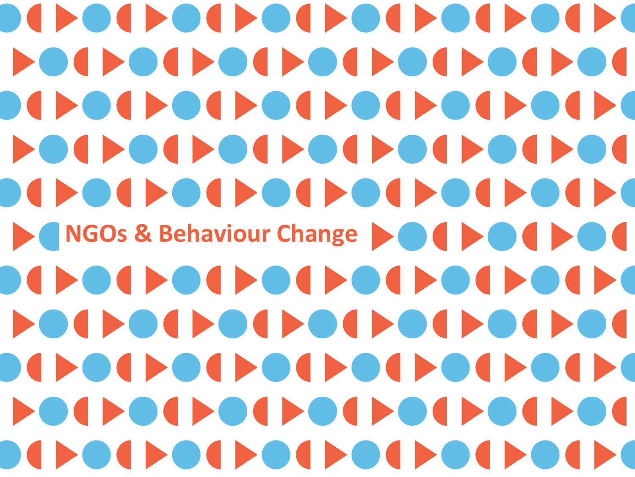OCHOCHOCHOCHOCH POLEOLEOLEOLEOLEOL OCHOCHOCHOCHOCH POLEOLEOLEOLEOLEOL NGOs & Behaviour Change **NGOS** POLICIE DI POLICIE DI POLICIA **OCHOOL CONCERNMENT** POLICIE DE POLICIE DE LOIRO **OCHOOL CONCERNMENT**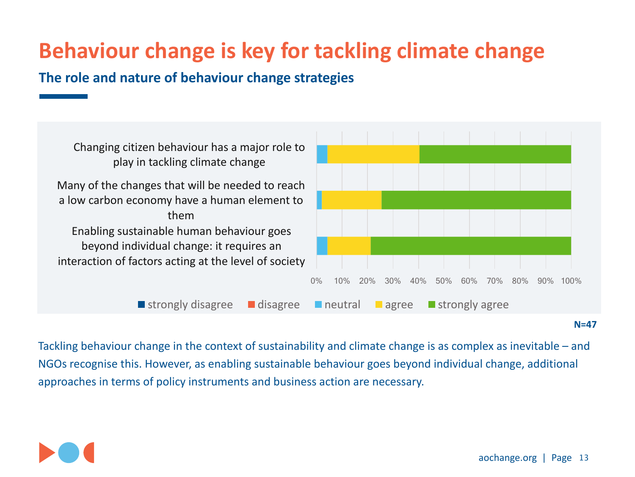### **Behaviour change is key for tackling climate change**

The role and nature of behaviour change strategies



#### **N=47**

Tackling behaviour change in the context of sustainability and climate change is as complex as inevitable  $-$  and NGOs recognise this. However, as enabling sustainable behaviour goes beyond individual change, additional approaches in terms of policy instruments and business action are necessary.

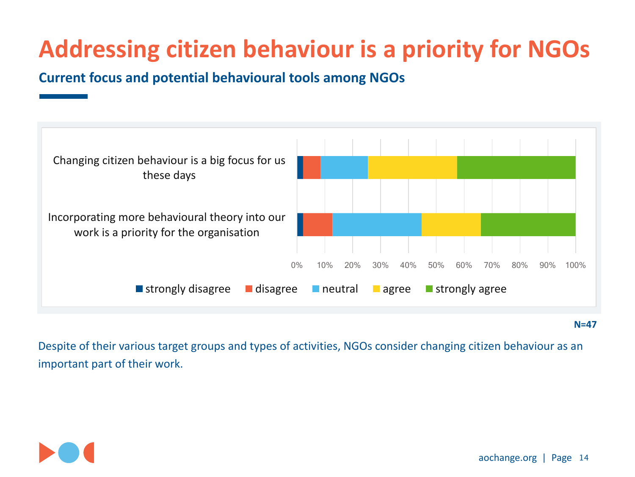### **Addressing citizen behaviour is a priority for NGOs**

**Current focus and potential behavioural tools among NGOs** 



**N=47**

Despite of their various target groups and types of activities, NGOs consider changing citizen behaviour as an important part of their work.

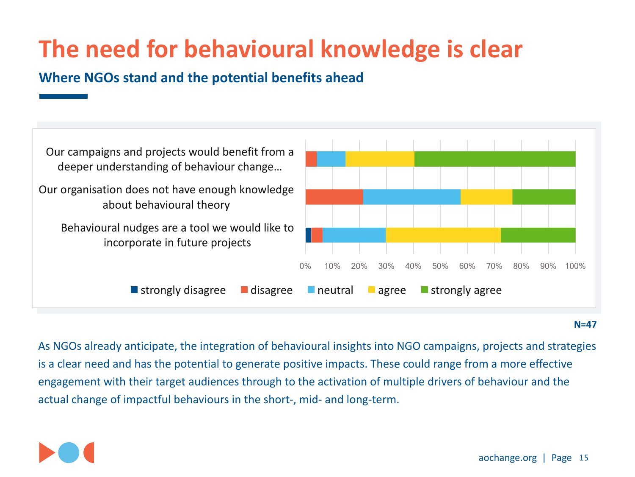### **The need for behavioural knowledge is clear**

#### **Where NGOs stand and the potential benefits ahead**



**N=47**

As NGOs already anticipate, the integration of behavioural insights into NGO campaigns, projects and strategies is a clear need and has the potential to generate positive impacts. These could range from a more effective engagement with their target audiences through to the activation of multiple drivers of behaviour and the actual change of impactful behaviours in the short-, mid- and long-term.

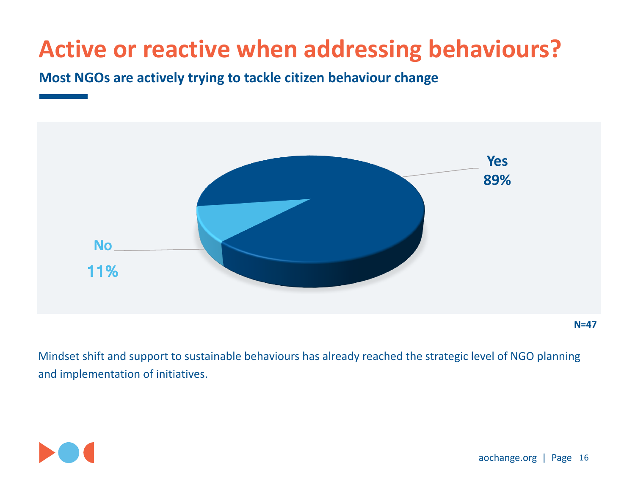### **Active or reactive when addressing behaviours?**

#### **Most NGOs are actively trying to tackle citizen behaviour change**



**N=47**

Mindset shift and support to sustainable behaviours has already reached the strategic level of NGO planning and implementation of initiatives.

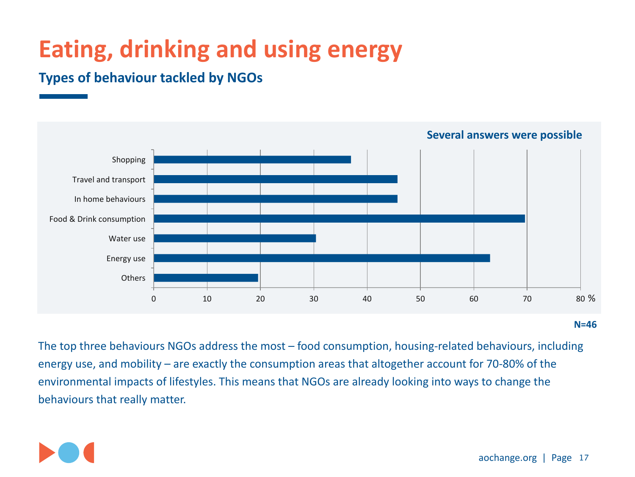### **Eating, drinking and using energy**

#### **Types of behaviour tackled by NGOs**



**N=46**

The top three behaviours NGOs address the most – food consumption, housing-related behaviours, including energy use, and mobility  $-$  are exactly the consumption areas that altogether account for 70-80% of the environmental impacts of lifestyles. This means that NGOs are already looking into ways to change the behaviours that really matter.

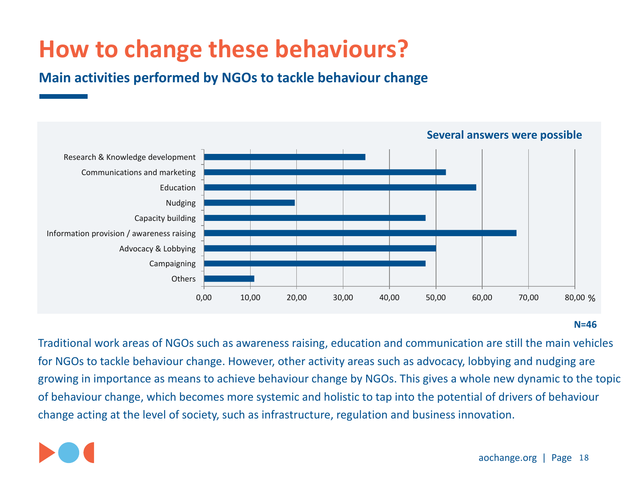### **How to change these behaviours?**

**Main activities performed by NGOs to tackle behaviour change** 



#### **N=46**

Traditional work areas of NGOs such as awareness raising, education and communication are still the main vehicles for NGOs to tackle behaviour change. However, other activity areas such as advocacy, lobbying and nudging are growing in importance as means to achieve behaviour change by NGOs. This gives a whole new dynamic to the topic of behaviour change, which becomes more systemic and holistic to tap into the potential of drivers of behaviour change acting at the level of society, such as infrastructure, regulation and business innovation.

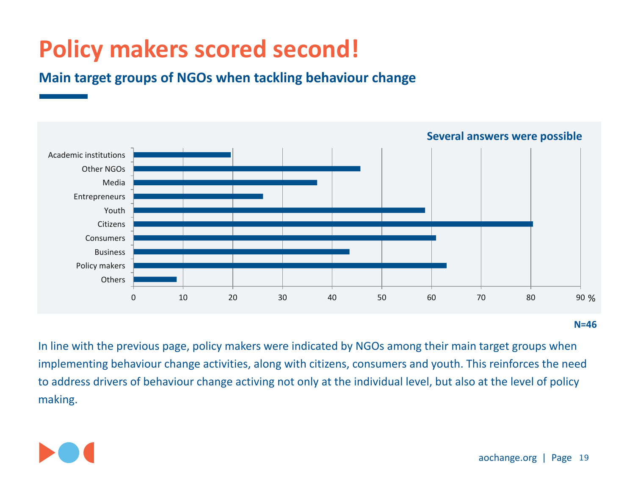### **Policy makers scored second!**

**Main target groups of NGOs when tackling behaviour change** 



**N=46**

In line with the previous page, policy makers were indicated by NGOs among their main target groups when implementing behaviour change activities, along with citizens, consumers and youth. This reinforces the need to address drivers of behaviour change activing not only at the individual level, but also at the level of policy making.

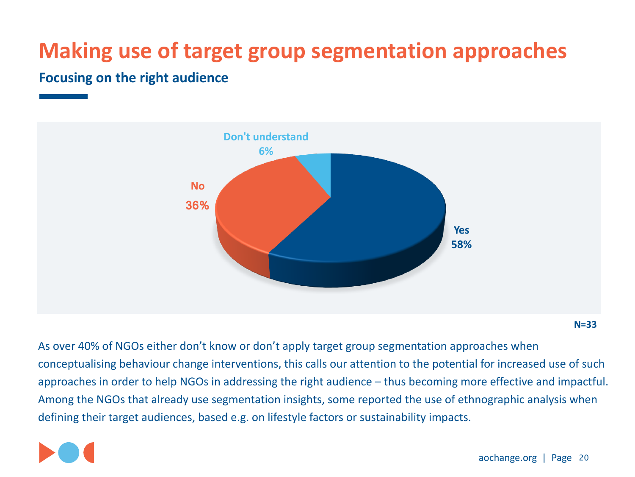### **Making use of target group segmentation approaches**

#### **Focusing on the right audience**



**N=33**

As over 40% of NGOs either don't know or don't apply target group segmentation approaches when conceptualising behaviour change interventions, this calls our attention to the potential for increased use of such approaches in order to help NGOs in addressing the right audience – thus becoming more effective and impactful. Among the NGOs that already use segmentation insights, some reported the use of ethnographic analysis when defining their target audiences, based e.g. on lifestyle factors or sustainability impacts.

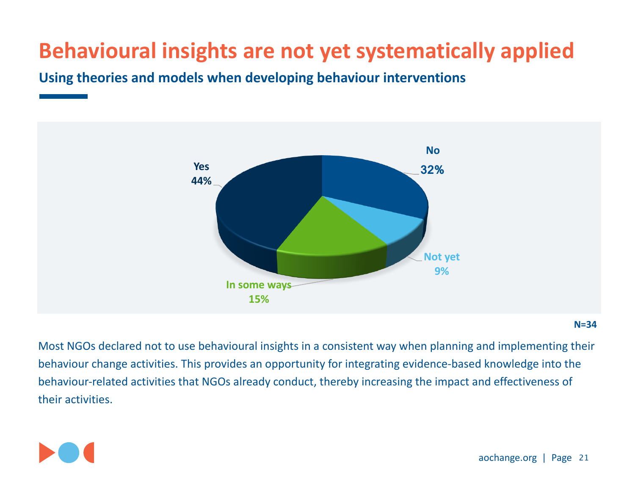### **Behavioural insights are not yet systematically applied**

Using theories and models when developing behaviour interventions



#### **N=34**

Most NGOs declared not to use behavioural insights in a consistent way when planning and implementing their behaviour change activities. This provides an opportunity for integrating evidence-based knowledge into the behaviour-related activities that NGOs already conduct, thereby increasing the impact and effectiveness of their activities.

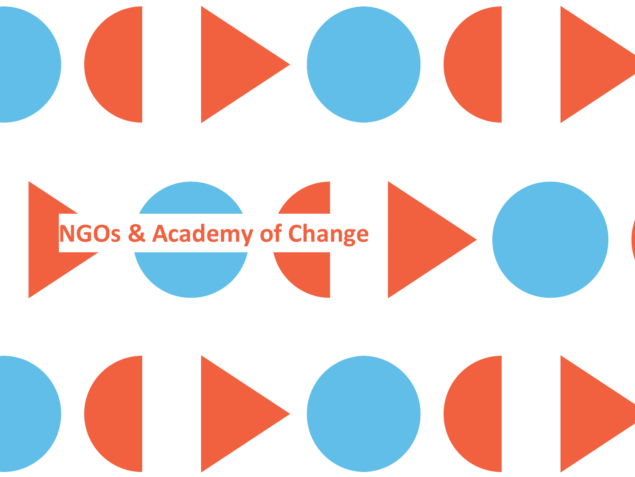

## **NGOs & Academy of Change**

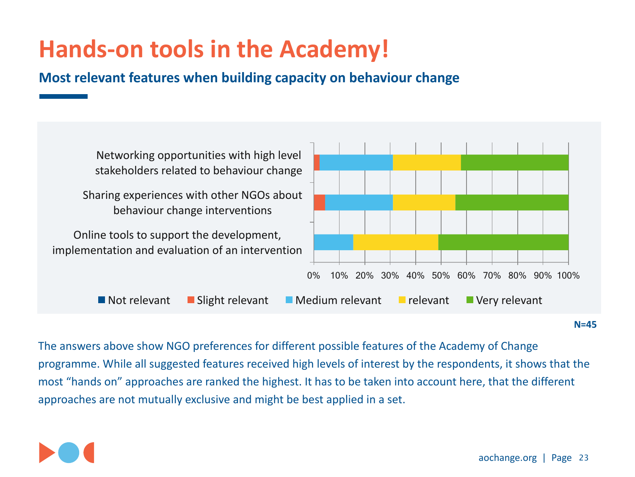### **Hands-on tools in the Academy!**

**Most relevant features when building capacity on behaviour change** 



**N=45**

The answers above show NGO preferences for different possible features of the Academy of Change programme. While all suggested features received high levels of interest by the respondents, it shows that the most "hands on" approaches are ranked the highest. It has to be taken into account here, that the different approaches are not mutually exclusive and might be best applied in a set.

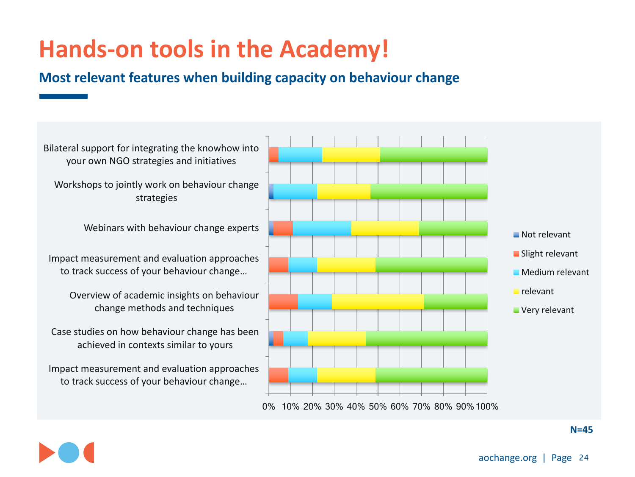### **Hands-on tools in the Academy!**

#### **Most relevant features when building capacity on behaviour change**

Impact measurement and evaluation approaches to track success of your behaviour change... Case studies on how behaviour change has been achieved in contexts similar to yours Overview of academic insights on behaviour change methods and techniques Impact measurement and evaluation approaches to track success of your behaviour change... Webinars with behaviour change experts Workshops to jointly work on behaviour change strategies Bilateral support for integrating the knowhow into your own NGO strategies and initiatives